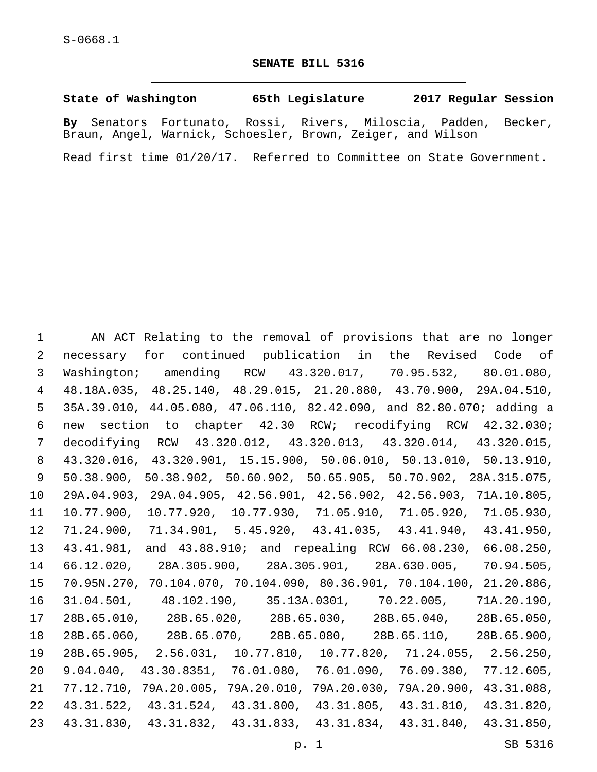## **SENATE BILL 5316**

## **State of Washington 65th Legislature 2017 Regular Session**

**By** Senators Fortunato, Rossi, Rivers, Miloscia, Padden, Becker, Braun, Angel, Warnick, Schoesler, Brown, Zeiger, and Wilson

Read first time 01/20/17. Referred to Committee on State Government.

 AN ACT Relating to the removal of provisions that are no longer necessary for continued publication in the Revised Code of Washington; amending RCW 43.320.017, 70.95.532, 80.01.080, 48.18A.035, 48.25.140, 48.29.015, 21.20.880, 43.70.900, 29A.04.510, 35A.39.010, 44.05.080, 47.06.110, 82.42.090, and 82.80.070; adding a new section to chapter 42.30 RCW; recodifying RCW 42.32.030; decodifying RCW 43.320.012, 43.320.013, 43.320.014, 43.320.015, 43.320.016, 43.320.901, 15.15.900, 50.06.010, 50.13.010, 50.13.910, 50.38.900, 50.38.902, 50.60.902, 50.65.905, 50.70.902, 28A.315.075, 29A.04.903, 29A.04.905, 42.56.901, 42.56.902, 42.56.903, 71A.10.805, 10.77.900, 10.77.920, 10.77.930, 71.05.910, 71.05.920, 71.05.930, 71.24.900, 71.34.901, 5.45.920, 43.41.035, 43.41.940, 43.41.950, 43.41.981, and 43.88.910; and repealing RCW 66.08.230, 66.08.250, 66.12.020, 28A.305.900, 28A.305.901, 28A.630.005, 70.94.505, 70.95N.270, 70.104.070, 70.104.090, 80.36.901, 70.104.100, 21.20.886, 31.04.501, 48.102.190, 35.13A.0301, 70.22.005, 71A.20.190, 28B.65.010, 28B.65.020, 28B.65.030, 28B.65.040, 28B.65.050, 28B.65.060, 28B.65.070, 28B.65.080, 28B.65.110, 28B.65.900, 28B.65.905, 2.56.031, 10.77.810, 10.77.820, 71.24.055, 2.56.250, 9.04.040, 43.30.8351, 76.01.080, 76.01.090, 76.09.380, 77.12.605, 77.12.710, 79A.20.005, 79A.20.010, 79A.20.030, 79A.20.900, 43.31.088, 43.31.522, 43.31.524, 43.31.800, 43.31.805, 43.31.810, 43.31.820, 43.31.830, 43.31.832, 43.31.833, 43.31.834, 43.31.840, 43.31.850,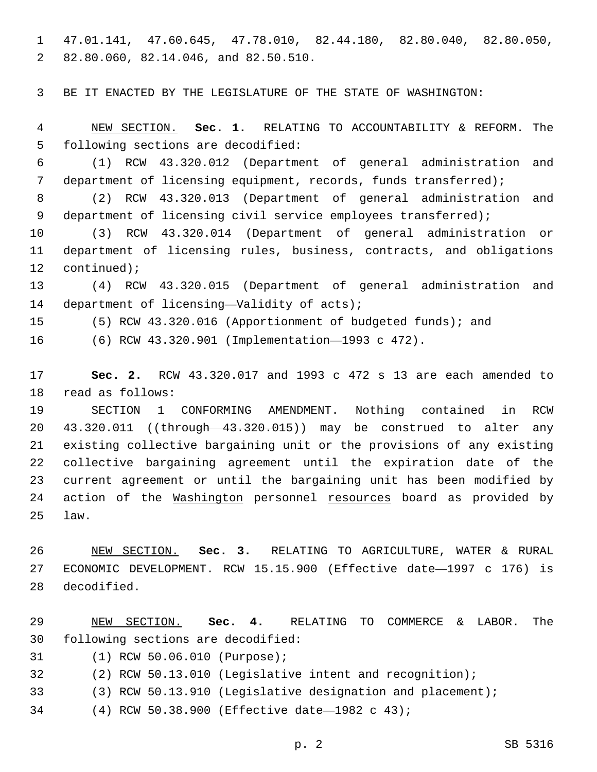47.01.141, 47.60.645, 47.78.010, 82.44.180, 82.80.040, 82.80.050, 82.80.060, 82.14.046, and 82.50.510.2

BE IT ENACTED BY THE LEGISLATURE OF THE STATE OF WASHINGTON:

 NEW SECTION. **Sec. 1.** RELATING TO ACCOUNTABILITY & REFORM. The following sections are decodified:

 (1) RCW 43.320.012 (Department of general administration and department of licensing equipment, records, funds transferred);

 (2) RCW 43.320.013 (Department of general administration and department of licensing civil service employees transferred);

 (3) RCW 43.320.014 (Department of general administration or department of licensing rules, business, contracts, and obligations 12 continued);

 (4) RCW 43.320.015 (Department of general administration and 14 department of licensing—Validity of acts);

(5) RCW 43.320.016 (Apportionment of budgeted funds); and

(6) RCW 43.320.901 (Implementation—1993 c 472).

 **Sec. 2.** RCW 43.320.017 and 1993 c 472 s 13 are each amended to 18 read as follows:

 SECTION 1 CONFORMING AMENDMENT. Nothing contained in RCW 20 43.320.011 ((through 43.320.015)) may be construed to alter any existing collective bargaining unit or the provisions of any existing collective bargaining agreement until the expiration date of the current agreement or until the bargaining unit has been modified by action of the Washington personnel resources board as provided by 25 law.

 NEW SECTION. **Sec. 3.** RELATING TO AGRICULTURE, WATER & RURAL ECONOMIC DEVELOPMENT. RCW 15.15.900 (Effective date—1997 c 176) is decodified.

 NEW SECTION. **Sec. 4.** RELATING TO COMMERCE & LABOR. The following sections are decodified:

(1) RCW 50.06.010 (Purpose);31

- (2) RCW 50.13.010 (Legislative intent and recognition);
- (3) RCW 50.13.910 (Legislative designation and placement);

(4) RCW 50.38.900 (Effective date—1982 c 43);34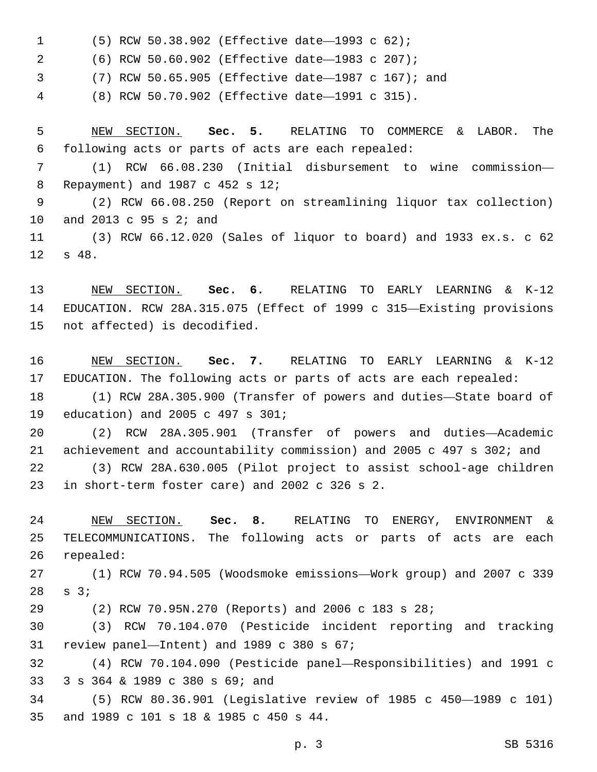- (5) RCW 50.38.902 (Effective date—1993 c 62);1
- (6) RCW 50.60.902 (Effective date—1983 c 207);2
- (7) RCW 50.65.905 (Effective date—1987 c 167); and
- (8) RCW 50.70.902 (Effective date—1991 c 315).4

 NEW SECTION. **Sec. 5.** RELATING TO COMMERCE & LABOR. The following acts or parts of acts are each repealed:

 (1) RCW 66.08.230 (Initial disbursement to wine commission— 8 Repayment) and 1987 c 452 s 12;

 (2) RCW 66.08.250 (Report on streamlining liquor tax collection) 10 and 2013 c 95 s 2; and

 (3) RCW 66.12.020 (Sales of liquor to board) and 1933 ex.s. c 62 12 s 48.

 NEW SECTION. **Sec. 6.** RELATING TO EARLY LEARNING & K-12 EDUCATION. RCW 28A.315.075 (Effect of 1999 c 315—Existing provisions not affected) is decodified.

 NEW SECTION. **Sec. 7.** RELATING TO EARLY LEARNING & K-12 EDUCATION. The following acts or parts of acts are each repealed:

 (1) RCW 28A.305.900 (Transfer of powers and duties—State board of 19 education) and 2005 c 497 s 301;

 (2) RCW 28A.305.901 (Transfer of powers and duties—Academic achievement and accountability commission) and 2005 c 497 s 302; and (3) RCW 28A.630.005 (Pilot project to assist school-age children 23 in short-term foster care) and 2002 c 326 s .

 NEW SECTION. **Sec. 8.** RELATING TO ENERGY, ENVIRONMENT & TELECOMMUNICATIONS. The following acts or parts of acts are each repealed:

 (1) RCW 70.94.505 (Woodsmoke emissions—Work group) and 2007 c 339  $28 \t s 3;$ 

(2) RCW 70.95N.270 (Reports) and 2006 c 183 s 28;

 (3) RCW 70.104.070 (Pesticide incident reporting and tracking 31 review panel—Intent) and c 380 s  $67$ ;

 (4) RCW 70.104.090 (Pesticide panel—Responsibilities) and 1991 c 33 3 s 364 & 1989 c 380 s 69; and

 (5) RCW 80.36.901 (Legislative review of 1985 c 450—1989 c 101) and 1989 c 101 s 18 & 1985 c 450 s 44.35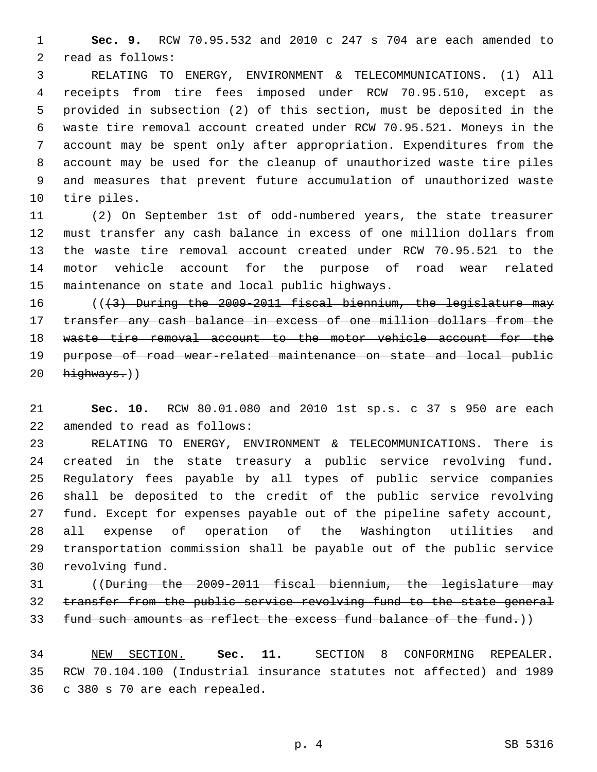**Sec. 9.** RCW 70.95.532 and 2010 c 247 s 704 are each amended to 2 read as follows:

 RELATING TO ENERGY, ENVIRONMENT & TELECOMMUNICATIONS. (1) All receipts from tire fees imposed under RCW 70.95.510, except as provided in subsection (2) of this section, must be deposited in the waste tire removal account created under RCW 70.95.521. Moneys in the account may be spent only after appropriation. Expenditures from the account may be used for the cleanup of unauthorized waste tire piles and measures that prevent future accumulation of unauthorized waste 10 tire piles.

 (2) On September 1st of odd-numbered years, the state treasurer must transfer any cash balance in excess of one million dollars from the waste tire removal account created under RCW 70.95.521 to the motor vehicle account for the purpose of road wear related 15 maintenance on state and local public highways.

16 (((3) During the 2009-2011 fiscal biennium, the legislature may transfer any cash balance in excess of one million dollars from the waste tire removal account to the motor vehicle account for the purpose of road wear-related maintenance on state and local public 20 highways.))

 **Sec. 10.** RCW 80.01.080 and 2010 1st sp.s. c 37 s 950 are each 22 amended to read as follows:

 RELATING TO ENERGY, ENVIRONMENT & TELECOMMUNICATIONS. There is created in the state treasury a public service revolving fund. Regulatory fees payable by all types of public service companies shall be deposited to the credit of the public service revolving fund. Except for expenses payable out of the pipeline safety account, all expense of operation of the Washington utilities and transportation commission shall be payable out of the public service 30 revolving fund.

 ((During the 2009-2011 fiscal biennium, the legislature may transfer from the public service revolving fund to the state general fund such amounts as reflect the excess fund balance of the fund.))

 NEW SECTION. **Sec. 11.** SECTION 8 CONFORMING REPEALER. RCW 70.104.100 (Industrial insurance statutes not affected) and 1989 c 380 s 70 are each repealed.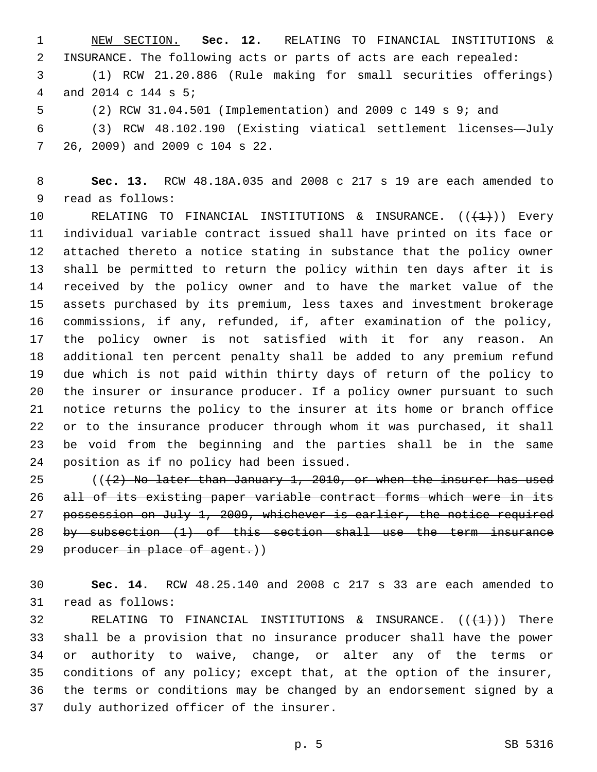NEW SECTION. **Sec. 12.** RELATING TO FINANCIAL INSTITUTIONS & INSURANCE. The following acts or parts of acts are each repealed: (1) RCW 21.20.886 (Rule making for small securities offerings) 4 and 2014 c 144 s 5; (2) RCW 31.04.501 (Implementation) and 2009 c 149 s 9; and

 (3) RCW 48.102.190 (Existing viatical settlement licenses—July 7 26, 2009) and 2009 c 104 s 22.

 **Sec. 13.** RCW 48.18A.035 and 2008 c 217 s 19 are each amended to 9 read as follows:

10 RELATING TO FINANCIAL INSTITUTIONS & INSURANCE.  $((+1)^2)$  Every individual variable contract issued shall have printed on its face or attached thereto a notice stating in substance that the policy owner shall be permitted to return the policy within ten days after it is received by the policy owner and to have the market value of the assets purchased by its premium, less taxes and investment brokerage commissions, if any, refunded, if, after examination of the policy, the policy owner is not satisfied with it for any reason. An additional ten percent penalty shall be added to any premium refund due which is not paid within thirty days of return of the policy to the insurer or insurance producer. If a policy owner pursuant to such notice returns the policy to the insurer at its home or branch office or to the insurance producer through whom it was purchased, it shall be void from the beginning and the parties shall be in the same 24 position as if no policy had been issued.

 $((+2)$  No later than January 1, 2010, or when the insurer has used 26 all of its existing paper variable contract forms which were in its possession on July 1, 2009, whichever is earlier, the notice required by subsection (1) of this section shall use the term insurance 29 producer in place of agent.))

 **Sec. 14.** RCW 48.25.140 and 2008 c 217 s 33 are each amended to 31 read as follows:

32 RELATING TO FINANCIAL INSTITUTIONS & INSURANCE.  $((\{\pm\})$  There shall be a provision that no insurance producer shall have the power or authority to waive, change, or alter any of the terms or conditions of any policy; except that, at the option of the insurer, the terms or conditions may be changed by an endorsement signed by a 37 duly authorized officer of the insurer.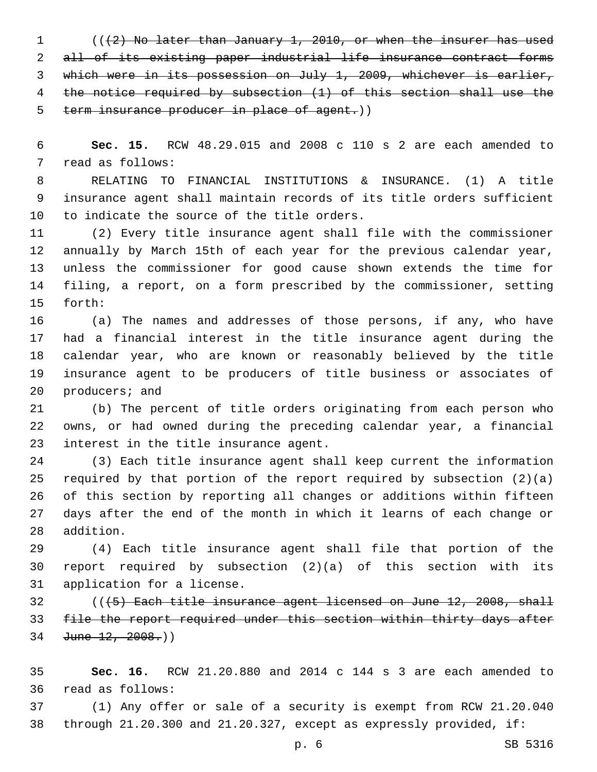$((+2)$  No later than January 1, 2010, or when the insurer has used all of its existing paper industrial life insurance contract forms which were in its possession on July 1, 2009, whichever is earlier, the notice required by subsection (1) of this section shall use the 5 term insurance producer in place of agent.))

 **Sec. 15.** RCW 48.29.015 and 2008 c 110 s 2 are each amended to 7 read as follows:

 RELATING TO FINANCIAL INSTITUTIONS & INSURANCE. (1) A title insurance agent shall maintain records of its title orders sufficient 10 to indicate the source of the title orders.

 (2) Every title insurance agent shall file with the commissioner annually by March 15th of each year for the previous calendar year, unless the commissioner for good cause shown extends the time for filing, a report, on a form prescribed by the commissioner, setting 15 forth:

 (a) The names and addresses of those persons, if any, who have had a financial interest in the title insurance agent during the calendar year, who are known or reasonably believed by the title insurance agent to be producers of title business or associates of 20 producers; and

 (b) The percent of title orders originating from each person who owns, or had owned during the preceding calendar year, a financial 23 interest in the title insurance agent.

 (3) Each title insurance agent shall keep current the information required by that portion of the report required by subsection (2)(a) of this section by reporting all changes or additions within fifteen days after the end of the month in which it learns of each change or 28 addition.

 (4) Each title insurance agent shall file that portion of the report required by subsection (2)(a) of this section with its 31 application for a license.

 (((5) Each title insurance agent licensed on June 12, 2008, shall file the report required under this section within thirty days after 34 June 12, 2008.)

 **Sec. 16.** RCW 21.20.880 and 2014 c 144 s 3 are each amended to read as follows:36

 (1) Any offer or sale of a security is exempt from RCW 21.20.040 through 21.20.300 and 21.20.327, except as expressly provided, if:

p. 6 SB 5316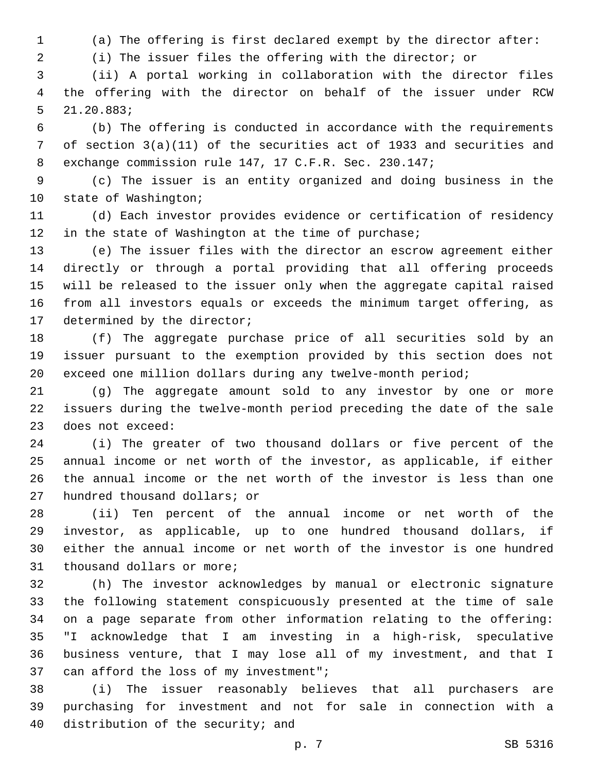(a) The offering is first declared exempt by the director after:

(i) The issuer files the offering with the director; or

 (ii) A portal working in collaboration with the director files the offering with the director on behalf of the issuer under RCW 21.20.883;5

 (b) The offering is conducted in accordance with the requirements of section 3(a)(11) of the securities act of 1933 and securities and exchange commission rule 147, 17 C.F.R. Sec. 230.147;

 (c) The issuer is an entity organized and doing business in the 10 state of Washington;

 (d) Each investor provides evidence or certification of residency 12 in the state of Washington at the time of purchase;

 (e) The issuer files with the director an escrow agreement either directly or through a portal providing that all offering proceeds will be released to the issuer only when the aggregate capital raised from all investors equals or exceeds the minimum target offering, as 17 determined by the director;

 (f) The aggregate purchase price of all securities sold by an issuer pursuant to the exemption provided by this section does not exceed one million dollars during any twelve-month period;

 (g) The aggregate amount sold to any investor by one or more issuers during the twelve-month period preceding the date of the sale 23 does not exceed:

 (i) The greater of two thousand dollars or five percent of the annual income or net worth of the investor, as applicable, if either the annual income or the net worth of the investor is less than one 27 hundred thousand dollars; or

 (ii) Ten percent of the annual income or net worth of the investor, as applicable, up to one hundred thousand dollars, if either the annual income or net worth of the investor is one hundred 31 thousand dollars or more;

 (h) The investor acknowledges by manual or electronic signature the following statement conspicuously presented at the time of sale on a page separate from other information relating to the offering: "I acknowledge that I am investing in a high-risk, speculative business venture, that I may lose all of my investment, and that I 37 can afford the loss of my investment";

 (i) The issuer reasonably believes that all purchasers are purchasing for investment and not for sale in connection with a 40 distribution of the security; and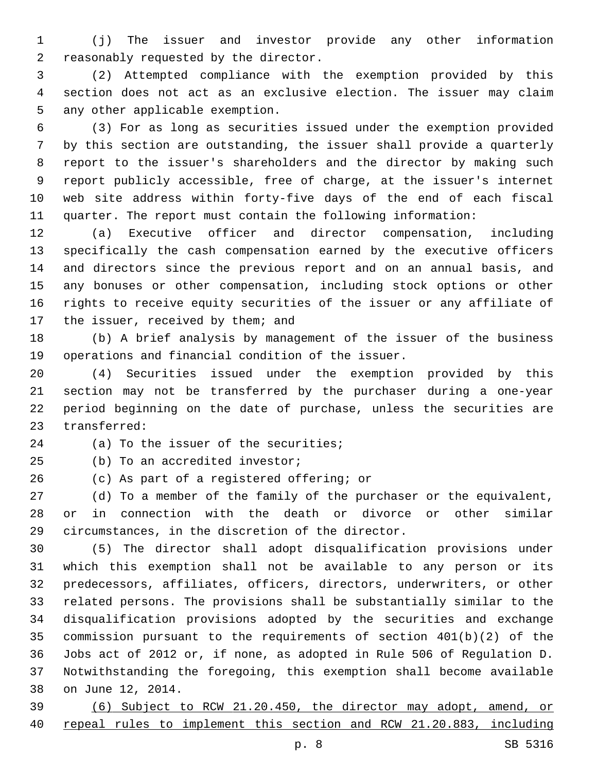(j) The issuer and investor provide any other information 2 reasonably requested by the director.

 (2) Attempted compliance with the exemption provided by this section does not act as an exclusive election. The issuer may claim 5 any other applicable exemption.

 (3) For as long as securities issued under the exemption provided by this section are outstanding, the issuer shall provide a quarterly report to the issuer's shareholders and the director by making such report publicly accessible, free of charge, at the issuer's internet web site address within forty-five days of the end of each fiscal quarter. The report must contain the following information:

 (a) Executive officer and director compensation, including specifically the cash compensation earned by the executive officers and directors since the previous report and on an annual basis, and any bonuses or other compensation, including stock options or other rights to receive equity securities of the issuer or any affiliate of 17 the issuer, received by them; and

 (b) A brief analysis by management of the issuer of the business 19 operations and financial condition of the issuer.

 (4) Securities issued under the exemption provided by this section may not be transferred by the purchaser during a one-year period beginning on the date of purchase, unless the securities are 23 transferred:

24 (a) To the issuer of the securities;

25 (b) To an accredited investor;

26 (c) As part of a registered offering; or

 (d) To a member of the family of the purchaser or the equivalent, or in connection with the death or divorce or other similar 29 circumstances, in the discretion of the director.

 (5) The director shall adopt disqualification provisions under which this exemption shall not be available to any person or its predecessors, affiliates, officers, directors, underwriters, or other related persons. The provisions shall be substantially similar to the disqualification provisions adopted by the securities and exchange commission pursuant to the requirements of section 401(b)(2) of the Jobs act of 2012 or, if none, as adopted in Rule 506 of Regulation D. Notwithstanding the foregoing, this exemption shall become available 38 on June 12, 2014.

 (6) Subject to RCW 21.20.450, the director may adopt, amend, or repeal rules to implement this section and RCW 21.20.883, including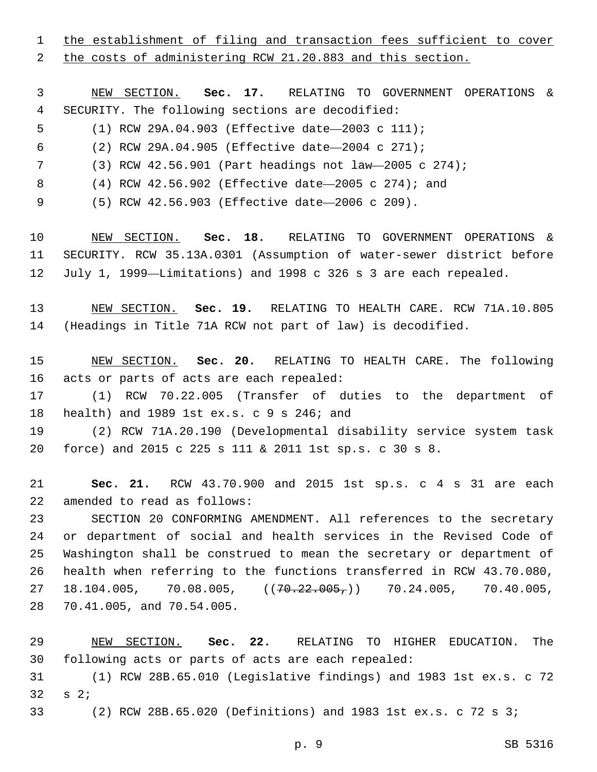the establishment of filing and transaction fees sufficient to cover

the costs of administering RCW 21.20.883 and this section.

 NEW SECTION. **Sec. 17.** RELATING TO GOVERNMENT OPERATIONS & SECURITY. The following sections are decodified: (1) RCW 29A.04.903 (Effective date—2003 c 111);

(2) RCW 29A.04.905 (Effective date—2004 c 271);

(3) RCW 42.56.901 (Part headings not law—2005 c 274);

(4) RCW 42.56.902 (Effective date—2005 c 274); and

(5) RCW 42.56.903 (Effective date—2006 c 209).9

 NEW SECTION. **Sec. 18.** RELATING TO GOVERNMENT OPERATIONS & SECURITY. RCW 35.13A.0301 (Assumption of water-sewer district before July 1, 1999—Limitations) and 1998 c 326 s 3 are each repealed.

 NEW SECTION. **Sec. 19.** RELATING TO HEALTH CARE. RCW 71A.10.805 (Headings in Title 71A RCW not part of law) is decodified.

 NEW SECTION. **Sec. 20.** RELATING TO HEALTH CARE. The following acts or parts of acts are each repealed:

 (1) RCW 70.22.005 (Transfer of duties to the department of 18 health) and 1989 1st ex.s. c 9 s 246; and

 (2) RCW 71A.20.190 (Developmental disability service system task force) and 2015 c 225 s 111 & 2011 1st sp.s. c 30 s 8.

 **Sec. 21.** RCW 43.70.900 and 2015 1st sp.s. c 4 s 31 are each 22 amended to read as follows:

 SECTION 20 CONFORMING AMENDMENT. All references to the secretary or department of social and health services in the Revised Code of Washington shall be construed to mean the secretary or department of health when referring to the functions transferred in RCW 43.70.080, 27 18.104.005, 70.08.005,  $(70.22.005, 70.24.005, 70.40.005,$ 28 70.41.005, and 70.54.005.

 NEW SECTION. **Sec. 22.** RELATING TO HIGHER EDUCATION. The following acts or parts of acts are each repealed:

 (1) RCW 28B.65.010 (Legislative findings) and 1983 1st ex.s. c 72 s  $2i$ 

(2) RCW 28B.65.020 (Definitions) and 1983 1st ex.s. c 72 s 3;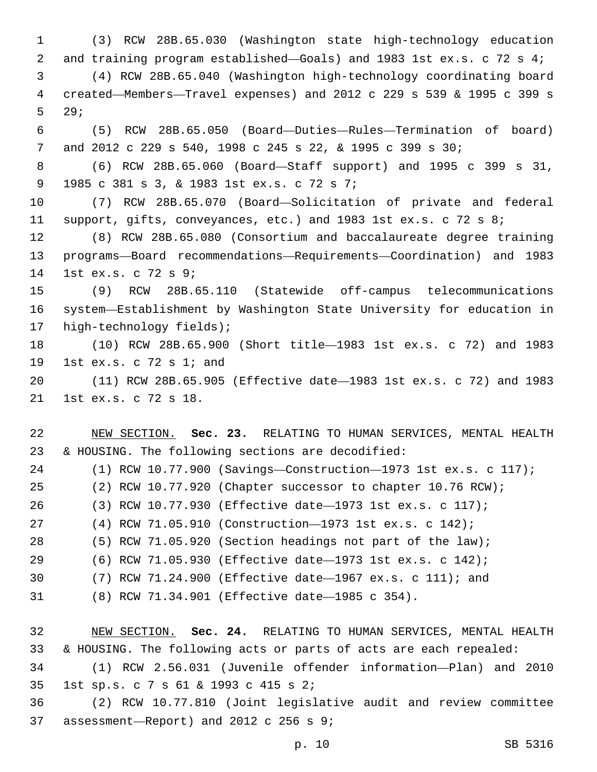(3) RCW 28B.65.030 (Washington state high-technology education and training program established—Goals) and 1983 1st ex.s. c 72 s 4; (4) RCW 28B.65.040 (Washington high-technology coordinating board created—Members—Travel expenses) and 2012 c 229 s 539 & 1995 c 399 s 5 29; (5) RCW 28B.65.050 (Board—Duties—Rules—Termination of board) and 2012 c 229 s 540, 1998 c 245 s 22, & 1995 c 399 s 30; (6) RCW 28B.65.060 (Board—Staff support) and 1995 c 399 s 31, 1985 c 381 s 3, & 1983 1st ex.s. c 72 s 7;9 (7) RCW 28B.65.070 (Board—Solicitation of private and federal

 support, gifts, conveyances, etc.) and 1983 1st ex.s. c 72 s 8; (8) RCW 28B.65.080 (Consortium and baccalaureate degree training programs—Board recommendations—Requirements—Coordination) and 1983

1st ex.s. c 72 s 9;14

 (9) RCW 28B.65.110 (Statewide off-campus telecommunications system—Establishment by Washington State University for education in 17 high-technology fields);

 (10) RCW 28B.65.900 (Short title—1983 1st ex.s. c 72) and 1983 19 1st ex.s. c 72 s 1; and

 (11) RCW 28B.65.905 (Effective date—1983 1st ex.s. c 72) and 1983 21 1st ex.s. c 72 s 18.

 NEW SECTION. **Sec. 23.** RELATING TO HUMAN SERVICES, MENTAL HEALTH & HOUSING. The following sections are decodified:

 (1) RCW 10.77.900 (Savings—Construction—1973 1st ex.s. c 117); (2) RCW 10.77.920 (Chapter successor to chapter 10.76 RCW); (3) RCW 10.77.930 (Effective date—1973 1st ex.s. c 117); (4) RCW 71.05.910 (Construction—1973 1st ex.s. c 142); (5) RCW 71.05.920 (Section headings not part of the law); (6) RCW 71.05.930 (Effective date—1973 1st ex.s. c 142); (7) RCW 71.24.900 (Effective date—1967 ex.s. c 111); and (8) RCW 71.34.901 (Effective date—1985 c 354).

 NEW SECTION. **Sec. 24.** RELATING TO HUMAN SERVICES, MENTAL HEALTH & HOUSING. The following acts or parts of acts are each repealed: (1) RCW 2.56.031 (Juvenile offender information—Plan) and 2010 1st sp.s. c 7 s 61 & 1993 c 415 s 2;35 (2) RCW 10.77.810 (Joint legislative audit and review committee 37 assessment—Report) and 2012 c 256 s 9;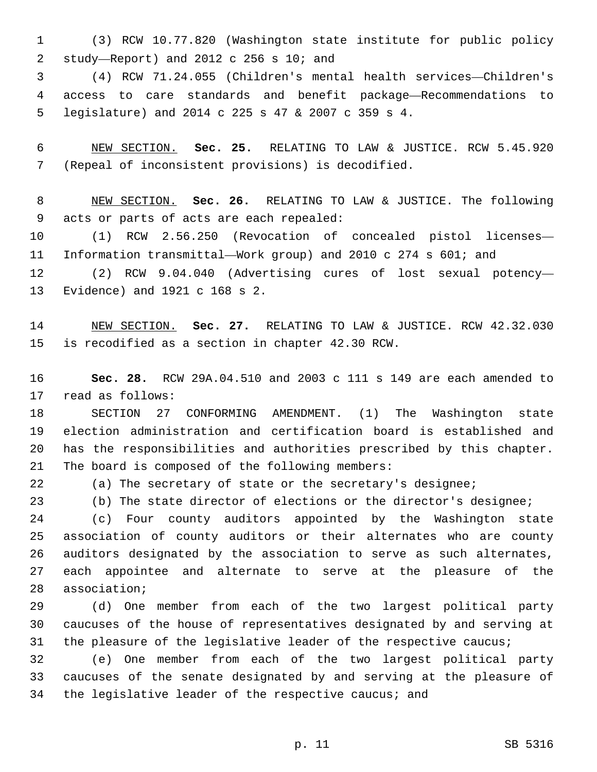(3) RCW 10.77.820 (Washington state institute for public policy 2 study—Report) and c  $256$  s  $10i$  and

 (4) RCW 71.24.055 (Children's mental health services—Children's access to care standards and benefit package—Recommendations to legislature) and 2014 c 225 s 47 & 2007 c 359 s 4.5

 NEW SECTION. **Sec. 25.** RELATING TO LAW & JUSTICE. RCW 5.45.920 (Repeal of inconsistent provisions) is decodified.

 NEW SECTION. **Sec. 26.** RELATING TO LAW & JUSTICE. The following acts or parts of acts are each repealed:

 (1) RCW 2.56.250 (Revocation of concealed pistol licenses— Information transmittal—Work group) and 2010 c 274 s 601; and

 (2) RCW 9.04.040 (Advertising cures of lost sexual potency— 13 Evidence) and 1921 c 168 s 2.

 NEW SECTION. **Sec. 27.** RELATING TO LAW & JUSTICE. RCW 42.32.030 is recodified as a section in chapter 42.30 RCW.

 **Sec. 28.** RCW 29A.04.510 and 2003 c 111 s 149 are each amended to 17 read as follows:

 SECTION 27 CONFORMING AMENDMENT. (1) The Washington state election administration and certification board is established and has the responsibilities and authorities prescribed by this chapter. 21 The board is composed of the following members:

(a) The secretary of state or the secretary's designee;

(b) The state director of elections or the director's designee;

 (c) Four county auditors appointed by the Washington state association of county auditors or their alternates who are county auditors designated by the association to serve as such alternates, each appointee and alternate to serve at the pleasure of the 28 association;

 (d) One member from each of the two largest political party caucuses of the house of representatives designated by and serving at 31 the pleasure of the legislative leader of the respective caucus;

 (e) One member from each of the two largest political party caucuses of the senate designated by and serving at the pleasure of the legislative leader of the respective caucus; and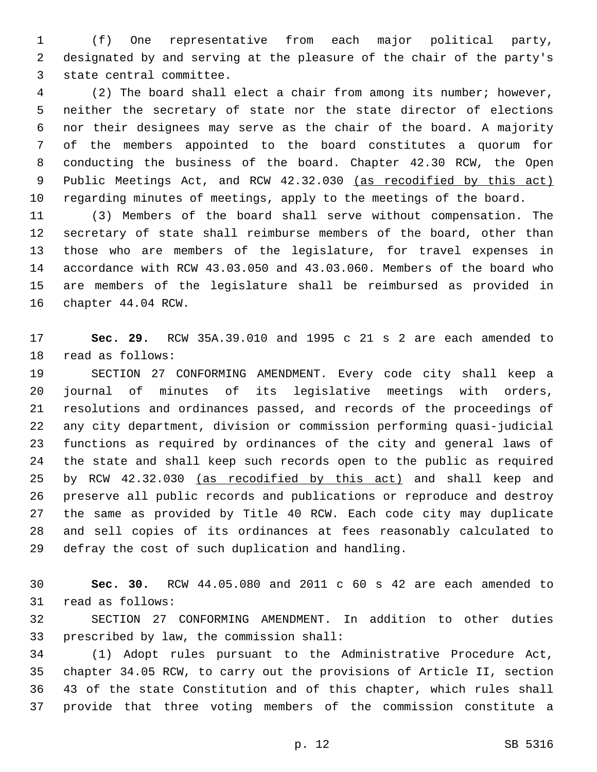(f) One representative from each major political party, designated by and serving at the pleasure of the chair of the party's 3 state central committee.

 (2) The board shall elect a chair from among its number; however, neither the secretary of state nor the state director of elections nor their designees may serve as the chair of the board. A majority of the members appointed to the board constitutes a quorum for conducting the business of the board. Chapter 42.30 RCW, the Open Public Meetings Act, and RCW 42.32.030 (as recodified by this act) regarding minutes of meetings, apply to the meetings of the board.

 (3) Members of the board shall serve without compensation. The secretary of state shall reimburse members of the board, other than those who are members of the legislature, for travel expenses in accordance with RCW 43.03.050 and 43.03.060. Members of the board who are members of the legislature shall be reimbursed as provided in 16 chapter 44.04 RCW.

 **Sec. 29.** RCW 35A.39.010 and 1995 c 21 s 2 are each amended to 18 read as follows:

 SECTION 27 CONFORMING AMENDMENT. Every code city shall keep a journal of minutes of its legislative meetings with orders, resolutions and ordinances passed, and records of the proceedings of any city department, division or commission performing quasi-judicial functions as required by ordinances of the city and general laws of the state and shall keep such records open to the public as required 25 by RCW 42.32.030 (as recodified by this act) and shall keep and preserve all public records and publications or reproduce and destroy the same as provided by Title 40 RCW. Each code city may duplicate and sell copies of its ordinances at fees reasonably calculated to 29 defray the cost of such duplication and handling.

 **Sec. 30.** RCW 44.05.080 and 2011 c 60 s 42 are each amended to 31 read as follows:

 SECTION 27 CONFORMING AMENDMENT. In addition to other duties 33 prescribed by law, the commission shall:

 (1) Adopt rules pursuant to the Administrative Procedure Act, chapter 34.05 RCW, to carry out the provisions of Article II, section 43 of the state Constitution and of this chapter, which rules shall provide that three voting members of the commission constitute a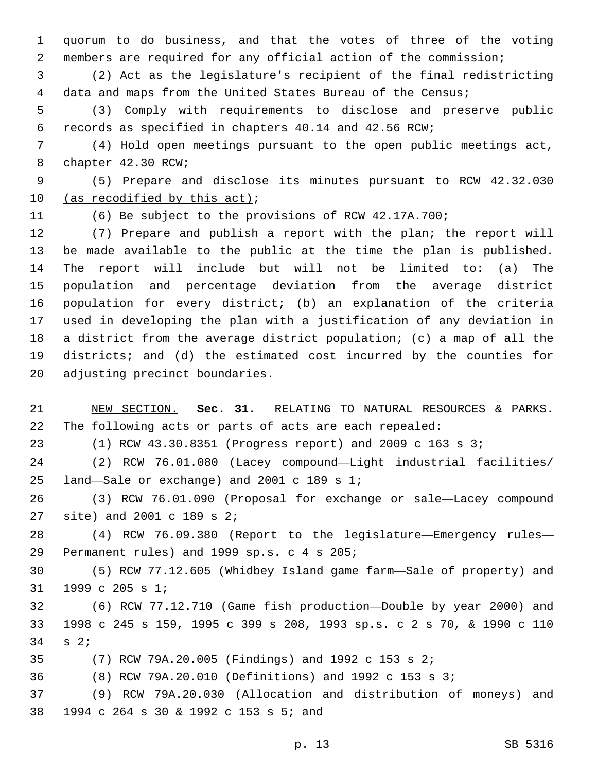quorum to do business, and that the votes of three of the voting members are required for any official action of the commission;

 (2) Act as the legislature's recipient of the final redistricting data and maps from the United States Bureau of the Census;

 (3) Comply with requirements to disclose and preserve public records as specified in chapters 40.14 and 42.56 RCW;

 (4) Hold open meetings pursuant to the open public meetings act, 8 chapter 42.30 RCW;

 (5) Prepare and disclose its minutes pursuant to RCW 42.32.030 10 (as recodified by this  $act$ );

(6) Be subject to the provisions of RCW 42.17A.700;

 (7) Prepare and publish a report with the plan; the report will be made available to the public at the time the plan is published. The report will include but will not be limited to: (a) The population and percentage deviation from the average district population for every district; (b) an explanation of the criteria used in developing the plan with a justification of any deviation in a district from the average district population; (c) a map of all the districts; and (d) the estimated cost incurred by the counties for 20 adjusting precinct boundaries.

 NEW SECTION. **Sec. 31.** RELATING TO NATURAL RESOURCES & PARKS. The following acts or parts of acts are each repealed:

(1) RCW 43.30.8351 (Progress report) and 2009 c 163 s 3;

 (2) RCW 76.01.080 (Lacey compound—Light industrial facilities/ 25 land—Sale or exchange) and 2001 c 189 s ;

 (3) RCW 76.01.090 (Proposal for exchange or sale—Lacey compound 27 site) and 2001 c 189 s 2;

 (4) RCW 76.09.380 (Report to the legislature—Emergency rules— 29 Permanent rules) and 1999 sp.s. c 4 s 205;

 (5) RCW 77.12.605 (Whidbey Island game farm—Sale of property) and 31 1999 c 205 s 1;

 (6) RCW 77.12.710 (Game fish production—Double by year 2000) and 1998 c 245 s 159, 1995 c 399 s 208, 1993 sp.s. c 2 s 70, & 1990 c 110 s  $2i$ 

(7) RCW 79A.20.005 (Findings) and 1992 c 153 s 2;

(8) RCW 79A.20.010 (Definitions) and 1992 c 153 s 3;

 (9) RCW 79A.20.030 (Allocation and distribution of moneys) and 1994 c 264 s 30 & 1992 c 153 s 5; and38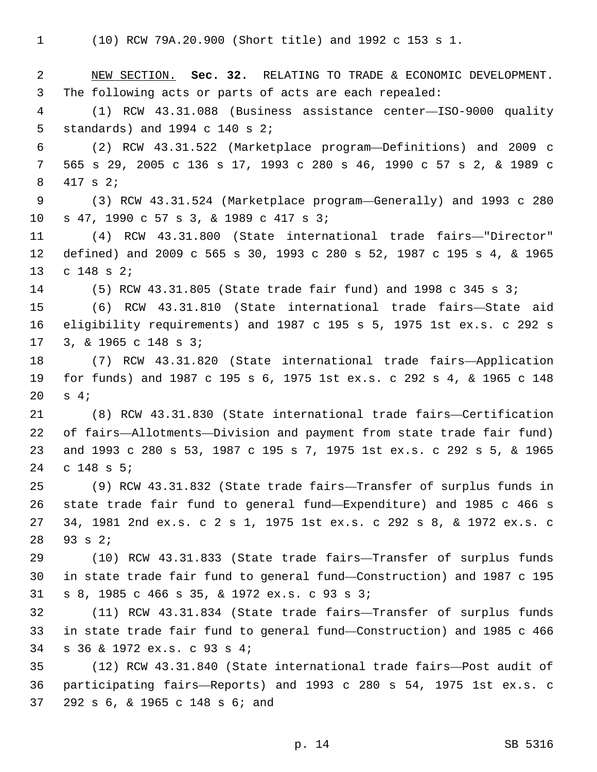(10) RCW 79A.20.900 (Short title) and 1992 c 153 s 1.

 NEW SECTION. **Sec. 32.** RELATING TO TRADE & ECONOMIC DEVELOPMENT. The following acts or parts of acts are each repealed: (1) RCW 43.31.088 (Business assistance center—ISO-9000 quality 5 standards) and 1994 c 140 s 2; (2) RCW 43.31.522 (Marketplace program—Definitions) and 2009 c 565 s 29, 2005 c 136 s 17, 1993 c 280 s 46, 1990 c 57 s 2, & 1989 c 8 417 s 2; (3) RCW 43.31.524 (Marketplace program—Generally) and 1993 c 280 s 47, 1990 c 57 s 3, & 1989 c 417 s 3;10 (4) RCW 43.31.800 (State international trade fairs—"Director" defined) and 2009 c 565 s 30, 1993 c 280 s 52, 1987 c 195 s 4, & 1965 13 c 148 s 2; (5) RCW 43.31.805 (State trade fair fund) and 1998 c 345 s 3; (6) RCW 43.31.810 (State international trade fairs—State aid eligibility requirements) and 1987 c 195 s 5, 1975 1st ex.s. c 292 s 17 3, & 1965 c 148 s 3; (7) RCW 43.31.820 (State international trade fairs—Application for funds) and 1987 c 195 s 6, 1975 1st ex.s. c 292 s 4, & 1965 c 148 s  $4;$  (8) RCW 43.31.830 (State international trade fairs—Certification of fairs—Allotments—Division and payment from state trade fair fund) and 1993 c 280 s 53, 1987 c 195 s 7, 1975 1st ex.s. c 292 s 5, & 1965 24 c 148 s 5; (9) RCW 43.31.832 (State trade fairs—Transfer of surplus funds in state trade fair fund to general fund—Expenditure) and 1985 c 466 s 34, 1981 2nd ex.s. c 2 s 1, 1975 1st ex.s. c 292 s 8, & 1972 ex.s. c 93 s  $2;$  (10) RCW 43.31.833 (State trade fairs—Transfer of surplus funds in state trade fair fund to general fund—Construction) and 1987 c 195 s 8, 1985 c 466 s 35, & 1972 ex.s. c 93 s 3; (11) RCW 43.31.834 (State trade fairs—Transfer of surplus funds in state trade fair fund to general fund—Construction) and 1985 c 466 s 36 & 1972 ex.s. c 93 s 4;34 (12) RCW 43.31.840 (State international trade fairs—Post audit of participating fairs—Reports) and 1993 c 280 s 54, 1975 1st ex.s. c 37 292 s 6, & 1965 c 148 s 6; and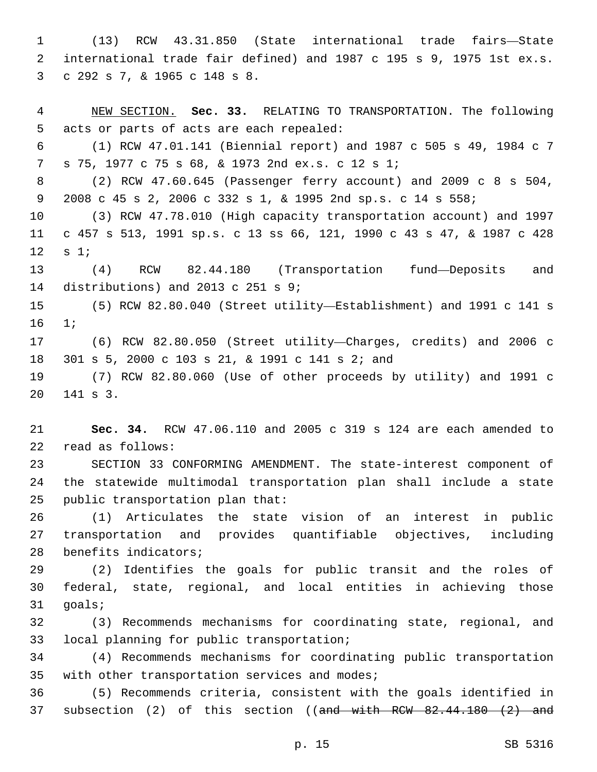(13) RCW 43.31.850 (State international trade fairs—State international trade fair defined) and 1987 c 195 s 9, 1975 1st ex.s. c 292 s 7, & 1965 c 148 s 8.3

 NEW SECTION. **Sec. 33.** RELATING TO TRANSPORTATION. The following acts or parts of acts are each repealed: (1) RCW 47.01.141 (Biennial report) and 1987 c 505 s 49, 1984 c 7 s 75, 1977 c 75 s 68, & 1973 2nd ex.s. c 12 s 1;7 (2) RCW 47.60.645 (Passenger ferry account) and 2009 c 8 s 504, 2008 c 45 s 2, 2006 c 332 s 1, & 1995 2nd sp.s. c 14 s 558; (3) RCW 47.78.010 (High capacity transportation account) and 1997 c 457 s 513, 1991 sp.s. c 13 ss 66, 121, 1990 c 43 s 47, & 1987 c 428 12 s 1; (4) RCW 82.44.180 (Transportation fund—Deposits and 14 distributions) and 2013 c 251 s  $9:14$  (5) RCW 82.80.040 (Street utility—Establishment) and 1991 c 141 s  $1;$  (6) RCW 82.80.050 (Street utility—Charges, credits) and 2006 c 301 s 5, 2000 c 103 s 21, & 1991 c 141 s 2; and18 (7) RCW 82.80.060 (Use of other proceeds by utility) and 1991 c

20 141 s 3.

 **Sec. 34.** RCW 47.06.110 and 2005 c 319 s 124 are each amended to 22 read as follows:

 SECTION 33 CONFORMING AMENDMENT. The state-interest component of the statewide multimodal transportation plan shall include a state 25 public transportation plan that:

 (1) Articulates the state vision of an interest in public transportation and provides quantifiable objectives, including 28 benefits indicators;

 (2) Identifies the goals for public transit and the roles of federal, state, regional, and local entities in achieving those goals;

 (3) Recommends mechanisms for coordinating state, regional, and 33 local planning for public transportation;

 (4) Recommends mechanisms for coordinating public transportation 35 with other transportation services and modes;

 (5) Recommends criteria, consistent with the goals identified in subsection (2) of this section ((and with RCW 82.44.180 (2) and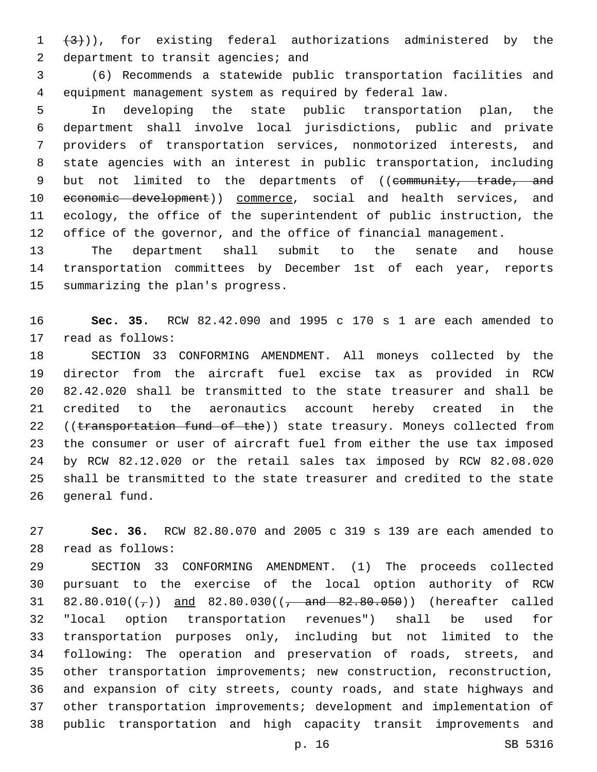$(3)$ ), for existing federal authorizations administered by the 2 department to transit agencies; and

 (6) Recommends a statewide public transportation facilities and equipment management system as required by federal law.

 In developing the state public transportation plan, the department shall involve local jurisdictions, public and private providers of transportation services, nonmotorized interests, and state agencies with an interest in public transportation, including 9 but not limited to the departments of ((community, trade, and 10 economic development)) commerce, social and health services, and ecology, the office of the superintendent of public instruction, the office of the governor, and the office of financial management.

 The department shall submit to the senate and house transportation committees by December 1st of each year, reports 15 summarizing the plan's progress.

 **Sec. 35.** RCW 82.42.090 and 1995 c 170 s 1 are each amended to 17 read as follows:

 SECTION 33 CONFORMING AMENDMENT. All moneys collected by the director from the aircraft fuel excise tax as provided in RCW 82.42.020 shall be transmitted to the state treasurer and shall be credited to the aeronautics account hereby created in the 22 ((transportation fund of the)) state treasury. Moneys collected from the consumer or user of aircraft fuel from either the use tax imposed by RCW 82.12.020 or the retail sales tax imposed by RCW 82.08.020 shall be transmitted to the state treasurer and credited to the state 26 general fund.

 **Sec. 36.** RCW 82.80.070 and 2005 c 319 s 139 are each amended to read as follows:28

 SECTION 33 CONFORMING AMENDMENT. (1) The proceeds collected pursuant to the exercise of the local option authority of RCW 31 82.80.010( $(\frac{1}{7})$ ) and 82.80.030( $(\frac{1}{7})$  and 82.80.050)) (hereafter called "local option transportation revenues") shall be used for transportation purposes only, including but not limited to the following: The operation and preservation of roads, streets, and other transportation improvements; new construction, reconstruction, and expansion of city streets, county roads, and state highways and other transportation improvements; development and implementation of public transportation and high capacity transit improvements and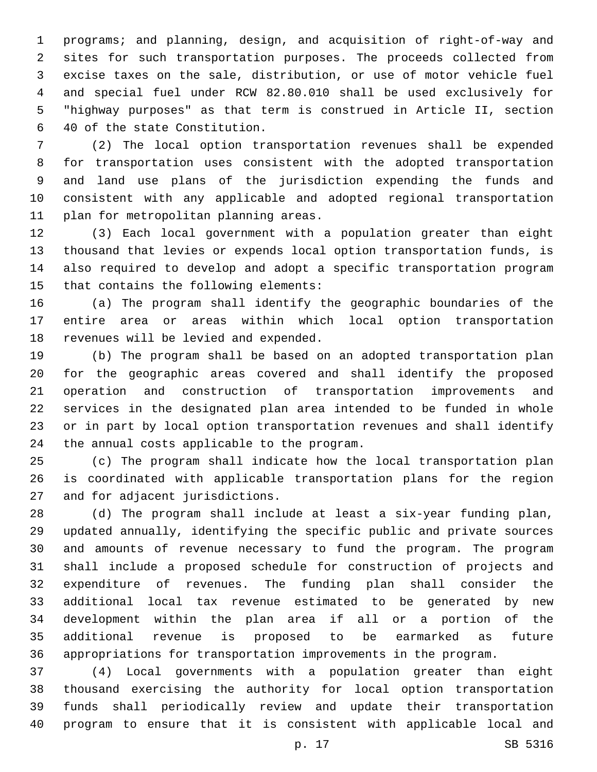programs; and planning, design, and acquisition of right-of-way and sites for such transportation purposes. The proceeds collected from excise taxes on the sale, distribution, or use of motor vehicle fuel and special fuel under RCW 82.80.010 shall be used exclusively for "highway purposes" as that term is construed in Article II, section 40 of the state Constitution.6

 (2) The local option transportation revenues shall be expended for transportation uses consistent with the adopted transportation and land use plans of the jurisdiction expending the funds and consistent with any applicable and adopted regional transportation 11 plan for metropolitan planning areas.

 (3) Each local government with a population greater than eight thousand that levies or expends local option transportation funds, is also required to develop and adopt a specific transportation program 15 that contains the following elements:

 (a) The program shall identify the geographic boundaries of the entire area or areas within which local option transportation 18 revenues will be levied and expended.

 (b) The program shall be based on an adopted transportation plan for the geographic areas covered and shall identify the proposed operation and construction of transportation improvements and services in the designated plan area intended to be funded in whole or in part by local option transportation revenues and shall identify 24 the annual costs applicable to the program.

 (c) The program shall indicate how the local transportation plan is coordinated with applicable transportation plans for the region 27 and for adjacent jurisdictions.

 (d) The program shall include at least a six-year funding plan, updated annually, identifying the specific public and private sources and amounts of revenue necessary to fund the program. The program shall include a proposed schedule for construction of projects and expenditure of revenues. The funding plan shall consider the additional local tax revenue estimated to be generated by new development within the plan area if all or a portion of the additional revenue is proposed to be earmarked as future appropriations for transportation improvements in the program.

 (4) Local governments with a population greater than eight thousand exercising the authority for local option transportation funds shall periodically review and update their transportation program to ensure that it is consistent with applicable local and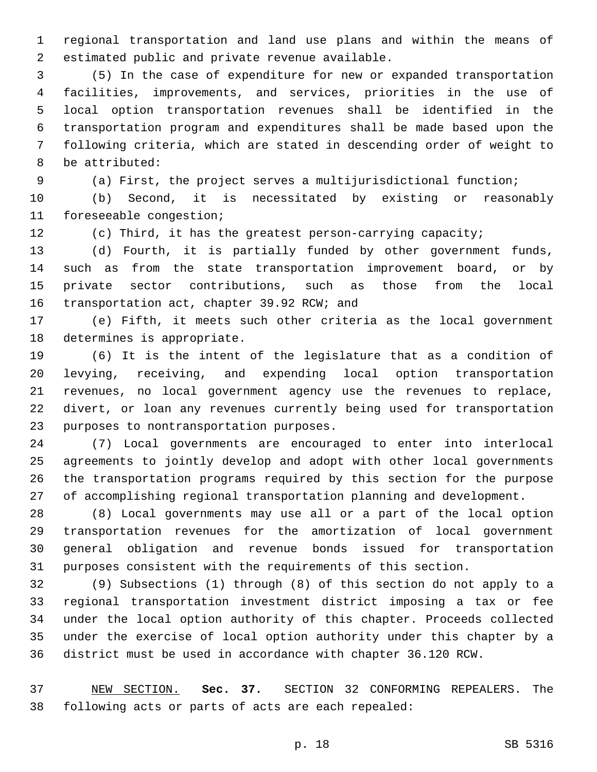regional transportation and land use plans and within the means of 2 estimated public and private revenue available.

 (5) In the case of expenditure for new or expanded transportation facilities, improvements, and services, priorities in the use of local option transportation revenues shall be identified in the transportation program and expenditures shall be made based upon the following criteria, which are stated in descending order of weight to 8 be attributed:

(a) First, the project serves a multijurisdictional function;

 (b) Second, it is necessitated by existing or reasonably 11 foreseeable congestion;

(c) Third, it has the greatest person-carrying capacity;

 (d) Fourth, it is partially funded by other government funds, such as from the state transportation improvement board, or by private sector contributions, such as those from the local 16 transportation act, chapter 39.92 RCW; and

 (e) Fifth, it meets such other criteria as the local government 18 determines is appropriate.

 (6) It is the intent of the legislature that as a condition of levying, receiving, and expending local option transportation revenues, no local government agency use the revenues to replace, divert, or loan any revenues currently being used for transportation 23 purposes to nontransportation purposes.

 (7) Local governments are encouraged to enter into interlocal agreements to jointly develop and adopt with other local governments the transportation programs required by this section for the purpose of accomplishing regional transportation planning and development.

 (8) Local governments may use all or a part of the local option transportation revenues for the amortization of local government general obligation and revenue bonds issued for transportation purposes consistent with the requirements of this section.

 (9) Subsections (1) through (8) of this section do not apply to a regional transportation investment district imposing a tax or fee under the local option authority of this chapter. Proceeds collected under the exercise of local option authority under this chapter by a district must be used in accordance with chapter 36.120 RCW.

 NEW SECTION. **Sec. 37.** SECTION 32 CONFORMING REPEALERS. The following acts or parts of acts are each repealed: